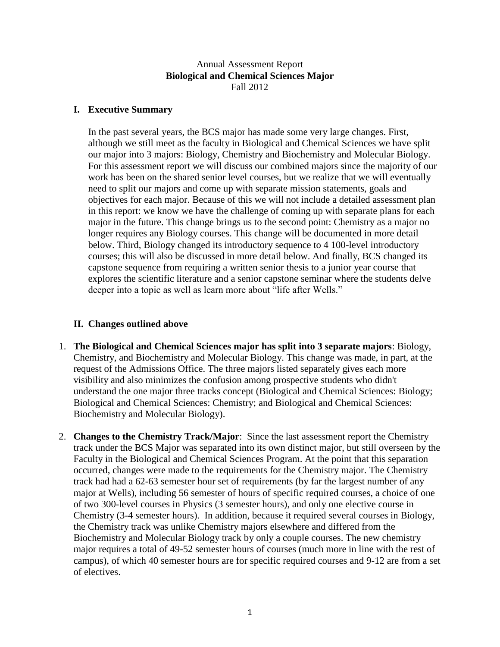### Annual Assessment Report **Biological and Chemical Sciences Major** Fall 2012

## **I. Executive Summary**

In the past several years, the BCS major has made some very large changes. First, although we still meet as the faculty in Biological and Chemical Sciences we have split our major into 3 majors: Biology, Chemistry and Biochemistry and Molecular Biology. For this assessment report we will discuss our combined majors since the majority of our work has been on the shared senior level courses, but we realize that we will eventually need to split our majors and come up with separate mission statements, goals and objectives for each major. Because of this we will not include a detailed assessment plan in this report: we know we have the challenge of coming up with separate plans for each major in the future. This change brings us to the second point: Chemistry as a major no longer requires any Biology courses. This change will be documented in more detail below. Third, Biology changed its introductory sequence to 4 100-level introductory courses; this will also be discussed in more detail below. And finally, BCS changed its capstone sequence from requiring a written senior thesis to a junior year course that explores the scientific literature and a senior capstone seminar where the students delve deeper into a topic as well as learn more about "life after Wells."

# **II. Changes outlined above**

- 1. **The Biological and Chemical Sciences major has split into 3 separate majors**: Biology, Chemistry, and Biochemistry and Molecular Biology. This change was made, in part, at the request of the Admissions Office. The three majors listed separately gives each more visibility and also minimizes the confusion among prospective students who didn't understand the one major three tracks concept (Biological and Chemical Sciences: Biology; Biological and Chemical Sciences: Chemistry; and Biological and Chemical Sciences: Biochemistry and Molecular Biology).
- 2. **Changes to the Chemistry Track/Major**: Since the last assessment report the Chemistry track under the BCS Major was separated into its own distinct major, but still overseen by the Faculty in the Biological and Chemical Sciences Program. At the point that this separation occurred, changes were made to the requirements for the Chemistry major. The Chemistry track had had a 62-63 semester hour set of requirements (by far the largest number of any major at Wells), including 56 semester of hours of specific required courses, a choice of one of two 300-level courses in Physics (3 semester hours), and only one elective course in Chemistry (3-4 semester hours). In addition, because it required several courses in Biology, the Chemistry track was unlike Chemistry majors elsewhere and differed from the Biochemistry and Molecular Biology track by only a couple courses. The new chemistry major requires a total of 49-52 semester hours of courses (much more in line with the rest of campus), of which 40 semester hours are for specific required courses and 9-12 are from a set of electives.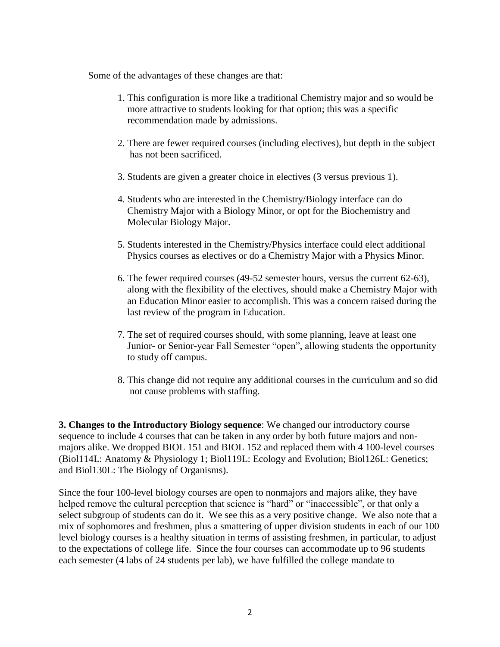Some of the advantages of these changes are that:

- 1. This configuration is more like a traditional Chemistry major and so would be more attractive to students looking for that option; this was a specific recommendation made by admissions.
- 2. There are fewer required courses (including electives), but depth in the subject has not been sacrificed.
- 3. Students are given a greater choice in electives (3 versus previous 1).
- 4. Students who are interested in the Chemistry/Biology interface can do Chemistry Major with a Biology Minor, or opt for the Biochemistry and Molecular Biology Major.
- 5. Students interested in the Chemistry/Physics interface could elect additional Physics courses as electives or do a Chemistry Major with a Physics Minor.
- 6. The fewer required courses (49-52 semester hours, versus the current 62-63), along with the flexibility of the electives, should make a Chemistry Major with an Education Minor easier to accomplish. This was a concern raised during the last review of the program in Education.
- 7. The set of required courses should, with some planning, leave at least one Junior- or Senior-year Fall Semester "open", allowing students the opportunity to study off campus.
- 8. This change did not require any additional courses in the curriculum and so did not cause problems with staffing.

**3. Changes to the Introductory Biology sequence**: We changed our introductory course sequence to include 4 courses that can be taken in any order by both future majors and nonmajors alike. We dropped BIOL 151 and BIOL 152 and replaced them with 4 100-level courses (Biol114L: Anatomy & Physiology 1; Biol119L: Ecology and Evolution; Biol126L: Genetics; and Biol130L: The Biology of Organisms).

Since the four 100-level biology courses are open to nonmajors and majors alike, they have helped remove the cultural perception that science is "hard" or "inaccessible", or that only a select subgroup of students can do it. We see this as a very positive change. We also note that a mix of sophomores and freshmen, plus a smattering of upper division students in each of our 100 level biology courses is a healthy situation in terms of assisting freshmen, in particular, to adjust to the expectations of college life. Since the four courses can accommodate up to 96 students each semester (4 labs of 24 students per lab), we have fulfilled the college mandate to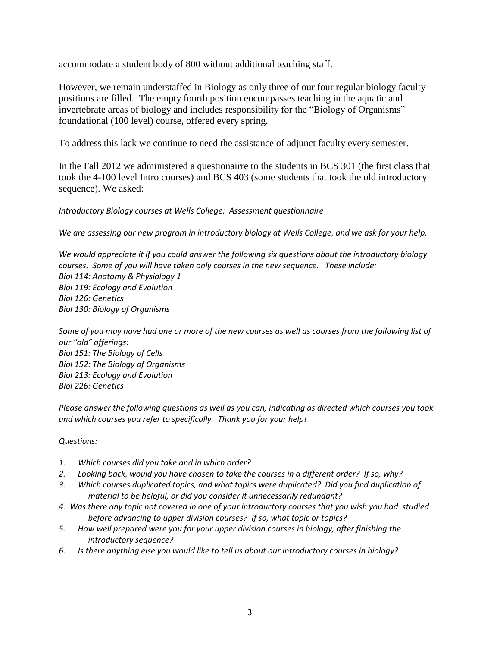accommodate a student body of 800 without additional teaching staff.

However, we remain understaffed in Biology as only three of our four regular biology faculty positions are filled. The empty fourth position encompasses teaching in the aquatic and invertebrate areas of biology and includes responsibility for the "Biology of Organisms" foundational (100 level) course, offered every spring.

To address this lack we continue to need the assistance of adjunct faculty every semester.

In the Fall 2012 we administered a questionairre to the students in BCS 301 (the first class that took the 4-100 level Intro courses) and BCS 403 (some students that took the old introductory sequence). We asked:

#### *Introductory Biology courses at Wells College: Assessment questionnaire*

*We are assessing our new program in introductory biology at Wells College, and we ask for your help.*

*We would appreciate it if you could answer the following six questions about the introductory biology courses. Some of you will have taken only courses in the new sequence. These include: Biol 114: Anatomy & Physiology 1 Biol 119: Ecology and Evolution Biol 126: Genetics Biol 130: Biology of Organisms*

*Some of you may have had one or more of the new courses as well as courses from the following list of our "old" offerings: Biol 151: The Biology of Cells Biol 152: The Biology of Organisms Biol 213: Ecology and Evolution Biol 226: Genetics*

*Please answer the following questions as well as you can, indicating as directed which courses you took and which courses you refer to specifically. Thank you for your help!*

#### *Questions:*

- *1. Which courses did you take and in which order?*
- *2. Looking back, would you have chosen to take the courses in a different order? If so, why?*
- *3. Which courses duplicated topics, and what topics were duplicated? Did you find duplication of material to be helpful, or did you consider it unnecessarily redundant?*
- *4. Was there any topic not covered in one of your introductory courses that you wish you had studied before advancing to upper division courses? If so, what topic or topics?*
- *5. How well prepared were you for your upper division courses in biology, after finishing the introductory sequence?*
- *6. Is there anything else you would like to tell us about our introductory courses in biology?*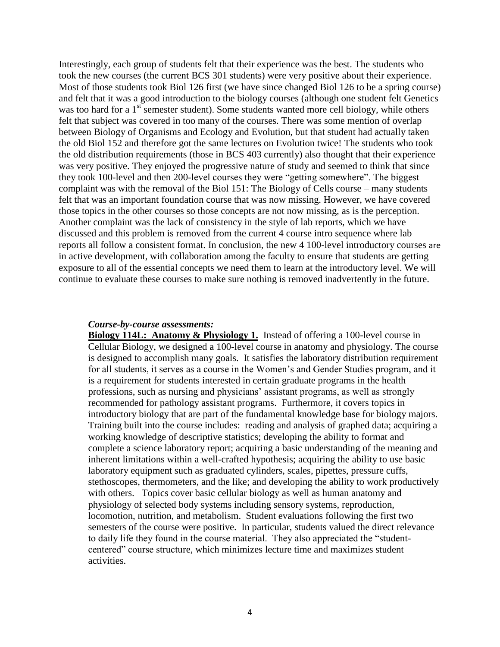Interestingly, each group of students felt that their experience was the best. The students who took the new courses (the current BCS 301 students) were very positive about their experience. Most of those students took Biol 126 first (we have since changed Biol 126 to be a spring course) and felt that it was a good introduction to the biology courses (although one student felt Genetics was too hard for a 1<sup>st</sup> semester student). Some students wanted more cell biology, while others felt that subject was covered in too many of the courses. There was some mention of overlap between Biology of Organisms and Ecology and Evolution, but that student had actually taken the old Biol 152 and therefore got the same lectures on Evolution twice! The students who took the old distribution requirements (those in BCS 403 currently) also thought that their experience was very positive. They enjoyed the progressive nature of study and seemed to think that since they took 100-level and then 200-level courses they were "getting somewhere". The biggest complaint was with the removal of the Biol 151: The Biology of Cells course – many students felt that was an important foundation course that was now missing. However, we have covered those topics in the other courses so those concepts are not now missing, as is the perception. Another complaint was the lack of consistency in the style of lab reports, which we have discussed and this problem is removed from the current 4 course intro sequence where lab reports all follow a consistent format. In conclusion, the new 4 100-level introductory courses are in active development, with collaboration among the faculty to ensure that students are getting exposure to all of the essential concepts we need them to learn at the introductory level. We will continue to evaluate these courses to make sure nothing is removed inadvertently in the future.

#### *Course-by-course assessments:*

**Biology 114L: Anatomy & Physiology 1.** Instead of offering a 100-level course in Cellular Biology, we designed a 100-level course in anatomy and physiology. The course is designed to accomplish many goals. It satisfies the laboratory distribution requirement for all students, it serves as a course in the Women's and Gender Studies program, and it is a requirement for students interested in certain graduate programs in the health professions, such as nursing and physicians' assistant programs, as well as strongly recommended for pathology assistant programs. Furthermore, it covers topics in introductory biology that are part of the fundamental knowledge base for biology majors. Training built into the course includes: reading and analysis of graphed data; acquiring a working knowledge of descriptive statistics; developing the ability to format and complete a science laboratory report; acquiring a basic understanding of the meaning and inherent limitations within a well-crafted hypothesis; acquiring the ability to use basic laboratory equipment such as graduated cylinders, scales, pipettes, pressure cuffs, stethoscopes, thermometers, and the like; and developing the ability to work productively with others. Topics cover basic cellular biology as well as human anatomy and physiology of selected body systems including sensory systems, reproduction, locomotion, nutrition, and metabolism. Student evaluations following the first two semesters of the course were positive. In particular, students valued the direct relevance to daily life they found in the course material. They also appreciated the "studentcentered" course structure, which minimizes lecture time and maximizes student activities.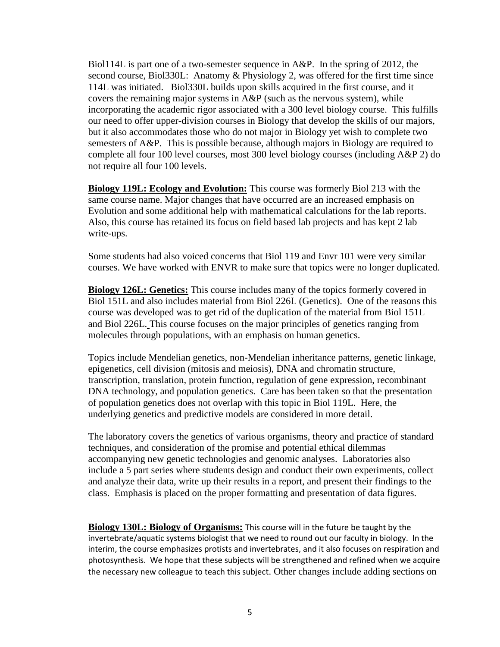Biol114L is part one of a two-semester sequence in A&P. In the spring of 2012, the second course, Biol330L: Anatomy & Physiology 2, was offered for the first time since 114L was initiated. Biol330L builds upon skills acquired in the first course, and it covers the remaining major systems in A&P (such as the nervous system), while incorporating the academic rigor associated with a 300 level biology course. This fulfills our need to offer upper-division courses in Biology that develop the skills of our majors, but it also accommodates those who do not major in Biology yet wish to complete two semesters of A&P. This is possible because, although majors in Biology are required to complete all four 100 level courses, most 300 level biology courses (including A&P 2) do not require all four 100 levels.

**Biology 119L: Ecology and Evolution:** This course was formerly Biol 213 with the same course name. Major changes that have occurred are an increased emphasis on Evolution and some additional help with mathematical calculations for the lab reports. Also, this course has retained its focus on field based lab projects and has kept 2 lab write-ups.

Some students had also voiced concerns that Biol 119 and Envr 101 were very similar courses. We have worked with ENVR to make sure that topics were no longer duplicated.

**Biology 126L: Genetics:** This course includes many of the topics formerly covered in Biol 151L and also includes material from Biol 226L (Genetics). One of the reasons this course was developed was to get rid of the duplication of the material from Biol 151L and Biol 226L. This course focuses on the major principles of genetics ranging from molecules through populations, with an emphasis on human genetics.

Topics include Mendelian genetics, non-Mendelian inheritance patterns, genetic linkage, epigenetics, cell division (mitosis and meiosis), DNA and chromatin structure, transcription, translation, protein function, regulation of gene expression, recombinant DNA technology, and population genetics. Care has been taken so that the presentation of population genetics does not overlap with this topic in Biol 119L. Here, the underlying genetics and predictive models are considered in more detail.

The laboratory covers the genetics of various organisms, theory and practice of standard techniques, and consideration of the promise and potential ethical dilemmas accompanying new genetic technologies and genomic analyses. Laboratories also include a 5 part series where students design and conduct their own experiments, collect and analyze their data, write up their results in a report, and present their findings to the class. Emphasis is placed on the proper formatting and presentation of data figures.

**Biology 130L: Biology of Organisms:** This course will in the future be taught by the invertebrate/aquatic systems biologist that we need to round out our faculty in biology. In the interim, the course emphasizes protists and invertebrates, and it also focuses on respiration and photosynthesis. We hope that these subjects will be strengthened and refined when we acquire the necessary new colleague to teach this subject. Other changes include adding sections on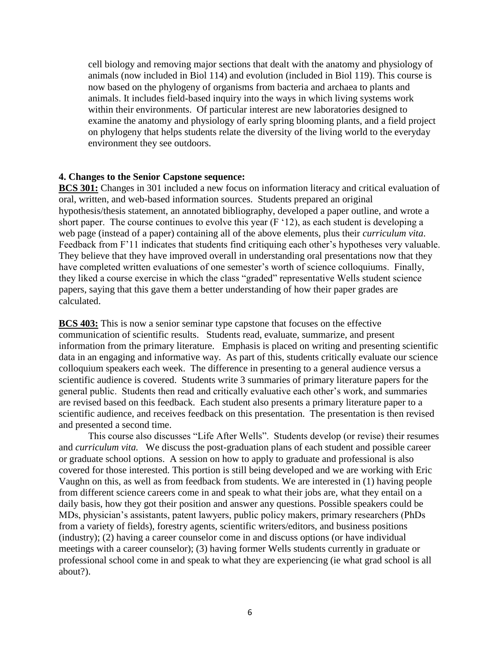cell biology and removing major sections that dealt with the anatomy and physiology of animals (now included in Biol 114) and evolution (included in Biol 119). This course is now based on the phylogeny of organisms from bacteria and archaea to plants and animals. It includes field-based inquiry into the ways in which living systems work within their environments. Of particular interest are new laboratories designed to examine the anatomy and physiology of early spring blooming plants, and a field project on phylogeny that helps students relate the diversity of the living world to the everyday environment they see outdoors.

### **4. Changes to the Senior Capstone sequence:**

**BCS 301:** Changes in 301 included a new focus on information literacy and critical evaluation of oral, written, and web-based information sources. Students prepared an original hypothesis/thesis statement, an annotated bibliography, developed a paper outline, and wrote a short paper. The course continues to evolve this year (F '12), as each student is developing a web page (instead of a paper) containing all of the above elements, plus their *curriculum vita*. Feedback from F'11 indicates that students find critiquing each other's hypotheses very valuable. They believe that they have improved overall in understanding oral presentations now that they have completed written evaluations of one semester's worth of science colloquiums. Finally, they liked a course exercise in which the class "graded" representative Wells student science papers, saying that this gave them a better understanding of how their paper grades are calculated.

**BCS 403:** This is now a senior seminar type capstone that focuses on the effective communication of scientific results. Students read, evaluate, summarize, and present information from the primary literature. Emphasis is placed on writing and presenting scientific data in an engaging and informative way. As part of this, students critically evaluate our science colloquium speakers each week. The difference in presenting to a general audience versus a scientific audience is covered. Students write 3 summaries of primary literature papers for the general public. Students then read and critically evaluative each other's work, and summaries are revised based on this feedback. Each student also presents a primary literature paper to a scientific audience, and receives feedback on this presentation. The presentation is then revised and presented a second time.

This course also discusses "Life After Wells". Students develop (or revise) their resumes and *curriculum vita.* We discuss the post-graduation plans of each student and possible career or graduate school options. A session on how to apply to graduate and professional is also covered for those interested. This portion is still being developed and we are working with Eric Vaughn on this, as well as from feedback from students. We are interested in (1) having people from different science careers come in and speak to what their jobs are, what they entail on a daily basis, how they got their position and answer any questions. Possible speakers could be MDs, physician's assistants, patent lawyers, public policy makers, primary researchers (PhDs from a variety of fields), forestry agents, scientific writers/editors, and business positions (industry); (2) having a career counselor come in and discuss options (or have individual meetings with a career counselor); (3) having former Wells students currently in graduate or professional school come in and speak to what they are experiencing (ie what grad school is all about?).